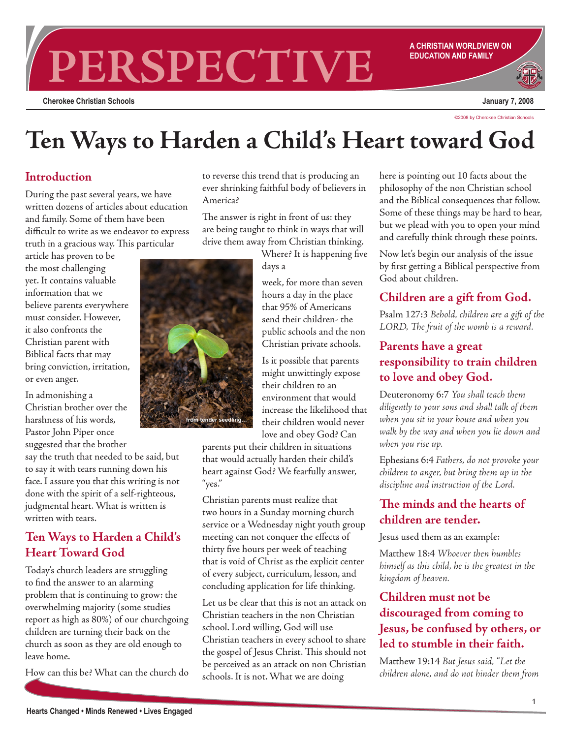# **PERSPECTIVE A CHRISTIAN WORLDVIEW ON**

**Cherokee Christian Schools**

**EDUCATION AND FAMILY**

**January 7, 2008**

©2008 by Cherokee Christian Schools

# **Ten Ways to Harden a Child's Heart toward God**

#### **Introduction**

During the past several years, we have written dozens of articles about education and family. Some of them have been difficult to write as we endeavor to express truth in a gracious way. This particular

article has proven to be the most challenging yet. It contains valuable information that we believe parents everywhere must consider. However, it also confronts the Christian parent with Biblical facts that may bring conviction, irritation, or even anger.

In admonishing a Christian brother over the harshness of his words, Pastor John Piper once suggested that the brother

say the truth that needed to be said, but to say it with tears running down his face. I assure you that this writing is not done with the spirit of a self-righteous, judgmental heart. What is written is written with tears.

# **Ten Ways to Harden a Child's Heart Toward God**

Today's church leaders are struggling to find the answer to an alarming problem that is continuing to grow: the overwhelming majority (some studies report as high as 80%) of our churchgoing children are turning their back on the church as soon as they are old enough to leave home.

How can this be? What can the church do

to reverse this trend that is producing an ever shrinking faithful body of believers in America?

The answer is right in front of us: they are being taught to think in ways that will drive them away from Christian thinking.

> Where? It is happening five days a

week, for more than seven hours a day in the place that 95% of Americans send their children- the public schools and the non Christian private schools.

Is it possible that parents might unwittingly expose their children to an environment that would increase the likelihood that their children would never love and obey God? Can

parents put their children in situations that would actually harden their child's heart against God? We fearfully answer, "yes."

Christian parents must realize that two hours in a Sunday morning church service or a Wednesday night youth group meeting can not conquer the effects of thirty five hours per week of teaching that is void of Christ as the explicit center of every subject, curriculum, lesson, and concluding application for life thinking.

Let us be clear that this is not an attack on Christian teachers in the non Christian school. Lord willing, God will use Christian teachers in every school to share the gospel of Jesus Christ. This should not be perceived as an attack on non Christian schools. It is not. What we are doing

here is pointing out 10 facts about the philosophy of the non Christian school and the Biblical consequences that follow. Some of these things may be hard to hear, but we plead with you to open your mind and carefully think through these points.

Now let's begin our analysis of the issue by first getting a Biblical perspective from God about children.

## **Children are a gift from God.**

Psalm 127:3 *Behold, children are a gift of the LORD, The fruit of the womb is a reward.*

# **Parents have a great responsibility to train children to love and obey God.**

Deuteronomy 6:7 *You shall teach them diligently to your sons and shall talk of them when you sit in your house and when you walk by the way and when you lie down and when you rise up.*

Ephesians 6:4 *Fathers, do not provoke your children to anger, but bring them up in the discipline and instruction of the Lord.*

# **The minds and the hearts of children are tender.**

Jesus used them as an example:

Matthew 18:4 *Whoever then humbles himself as this child, he is the greatest in the kingdom of heaven.*

# **Children must not be discouraged from coming to Jesus, be confused by others, or led to stumble in their faith.**

Matthew 19:14 *But Jesus said, "Let the children alone, and do not hinder them from* 

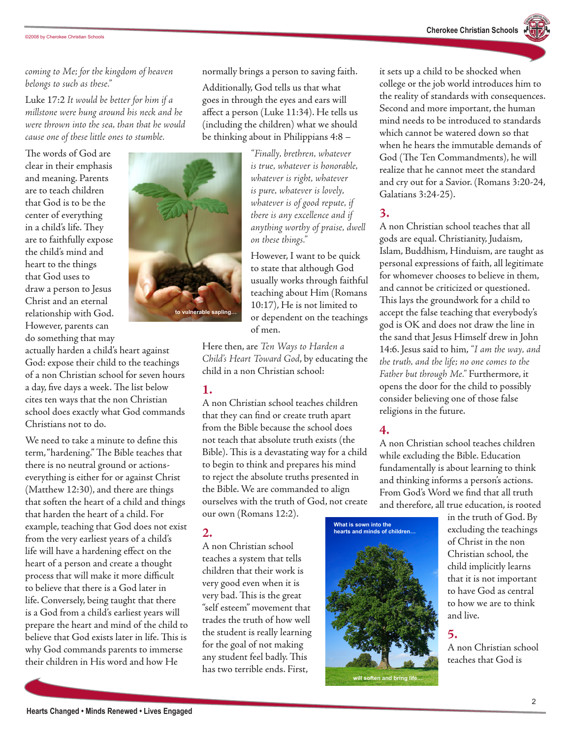*coming to Me; for the kingdom of heaven belongs to such as these."*

Luke 17:2 *It would be better for him if a millstone were hung around his neck and he were thrown into the sea, than that he would cause one of these little ones to stumble.*

The words of God are clear in their emphasis and meaning. Parents are to teach children that God is to be the center of everything in a child's life. They are to faithfully expose the child's mind and heart to the things that God uses to draw a person to Jesus Christ and an eternal relationship with God. However, parents can do something that may

actually harden a child's heart against God: expose their child to the teachings of a non Christian school for seven hours a day, five days a week. The list below cites ten ways that the non Christian school does exactly what God commands Christians not to do.

We need to take a minute to define this term, "hardening." The Bible teaches that there is no neutral ground or actionseverything is either for or against Christ (Matthew 12:30), and there are things that soften the heart of a child and things that harden the heart of a child. For example, teaching that God does not exist from the very earliest years of a child's life will have a hardening effect on the heart of a person and create a thought process that will make it more difficult to believe that there is a God later in life. Conversely, being taught that there is a God from a child's earliest years will prepare the heart and mind of the child to believe that God exists later in life. This is why God commands parents to immerse their children in His word and how He



normally brings a person to saving faith.

Additionally, God tells us that what goes in through the eyes and ears will affect a person (Luke 11:34). He tells us (including the children) what we should be thinking about in Philippians 4:8 –

> *"Finally, brethren, whatever is true, whatever is honorable, whatever is right, whatever is pure, whatever is lovely, whatever is of good repute, if there is any excellence and if anything worthy of praise, dwell on these things."*

However, I want to be quick to state that although God usually works through faithful teaching about Him (Romans 10:17), He is not limited to or dependent on the teachings of men.

Here then, are *Ten Ways to Harden a Child's Heart Toward God*, by educating the child in a non Christian school:

#### **1.**

A non Christian school teaches children that they can find or create truth apart from the Bible because the school does not teach that absolute truth exists (the Bible). This is a devastating way for a child to begin to think and prepares his mind to reject the absolute truths presented in the Bible. We are commanded to align ourselves with the truth of God, not create our own (Romans 12:2).

#### **2.**

A non Christian school teaches a system that tells children that their work is very good even when it is very bad. This is the great "self esteem" movement that trades the truth of how well the student is really learning for the goal of not making any student feel badly. This has two terrible ends. First,

it sets up a child to be shocked when college or the job world introduces him to the reality of standards with consequences. Second and more important, the human mind needs to be introduced to standards which cannot be watered down so that when he hears the immutable demands of God (The Ten Commandments), he will realize that he cannot meet the standard and cry out for a Savior. (Romans 3:20-24, Galatians 3:24-25).

## **3.**

A non Christian school teaches that all gods are equal. Christianity, Judaism, Islam, Buddhism, Hinduism, are taught as personal expressions of faith, all legitimate for whomever chooses to believe in them, and cannot be criticized or questioned. This lays the groundwork for a child to accept the false teaching that everybody's god is OK and does not draw the line in the sand that Jesus Himself drew in John 14:6. Jesus said to him, *"I am the way, and the truth, and the life; no one comes to the Father but through Me."* Furthermore, it opens the door for the child to possibly consider believing one of those false religions in the future.

# **4.**

A non Christian school teaches children while excluding the Bible. Education fundamentally is about learning to think and thinking informs a person's actions. From God's Word we find that all truth and therefore, all true education, is rooted



in the truth of God. By excluding the teachings of Christ in the non Christian school, the child implicitly learns that it is not important to have God as central to how we are to think and live.

#### **5.**

A non Christian school teaches that God is